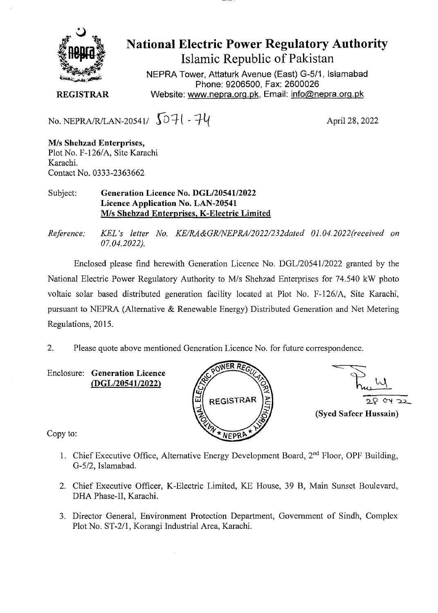

## National Electric Power Regulatory Authority Islamic Republic of Pakistan

NEPRA Tower, Attaturk Avenue (East) G-5/1, Islamabad Phone: 9206500, Fax: 2600026 **REGISTRAR** Website: www.nepra.org.pk, Email: info@nepra.org.pk

No. NEPRA/R/LAN-20541/  $\sqrt{0}$  +  $\sqrt{4}$  +  $\sqrt{4}$  April 28, 2022

M/s **Shehzad Enterprises,**  Plot No. F-126/A, Site Karachi Karachi. Contact No. 0333-2363662

Subject: **Generation Licence No. DGL/20541/2022 Licence Application No.** LAN-20541 M/s **Shehzad Enterprises, K-Electric Limited** 

*Reference: KEL's letter No. KE/1L4&GK/NEPRA/2022/232dated 01.04.2022(received on 07.04.2022).* 

Enclosed please find herewith Generation Licence No. DGL/2054 1/2022 granted by the National Electric Power Regulatory Authority to M/s Shehzad Enterprises for 74.540 kW photo voltaic solar based distributed generation facility located at Plot No. F-126/A, Site Karachi, pursuant to NEPRA (Alternative & Renewable Energy) Distributed Generation and Net Metering Regulations, 2015.

2. Please quote above mentioned Generation Licence No. for future correspondence.

Enclosure: **Generation Licence (DGL/20541/2022)** 



**(Syed Safeer Hussain)** 

Copy to:

- 1. Chief Executive Office, Alternative Energy Development Board, 2<sup>nd</sup> Floor, OPF Building, G-5/2, Islamabad.
- 2. Chief Executive Officer, K-Electric Limited, KE House, 39 B, Main Sunset Boulevard, DHA Phase-lI, Karachi.
- 3. Director General, Environment Protection Department, Government of Sindh, Complex Plot No. ST-2/1, Korangi Industrial Area, Karachi.